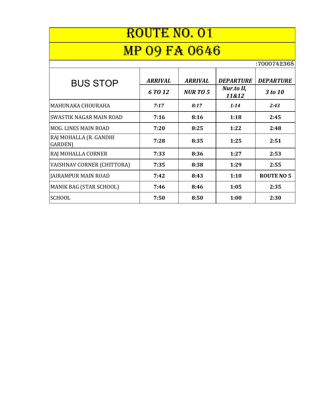| <b>ROUTE NO. 01</b>               |                |                |                     |                   |  |
|-----------------------------------|----------------|----------------|---------------------|-------------------|--|
| <b>MP 09 FA 0646</b>              |                |                |                     |                   |  |
| :7000742368                       |                |                |                     |                   |  |
| <b>BUS STOP</b>                   | <b>ARRIVAL</b> | <b>ARRIVAL</b> | <b>DEPARTURE</b>    | <b>DEPARTURE</b>  |  |
|                                   | 6 TO 12        | <b>NURTO 5</b> | Nur.to II,<br>11&12 | 3 to 10           |  |
| MAHUNAKA CHOURAHA                 | 7:17           | 8:17           | 1:14                | 2:43              |  |
| SWASTIK NAGAR MAIN ROAD           | 7:16           | 8:16           | 1:18                | 2:45              |  |
| <b>MOG. LINES MAIN ROAD</b>       | 7:20           | 8:25           | 1:22                | 2:48              |  |
| RAJ MOHALLA (R. GANDHI<br>GARDEN) | 7:28           | 8:35           | 1:25                | 2:51              |  |
| RAJ MOHALLA CORNER                | 7:33           | 8:36           | 1:27                | 2:53              |  |
| VAISHNAV CORNER (CHITTORA)        | 7:35           | 8:38           | 1:29                | 2:55              |  |
| <b>JAIRAMPUR MAIN ROAD</b>        | 7:42           | 8:43           | 1:10                | <b>ROUTE NO 5</b> |  |
| <b>MANIK BAG (STAR SCHOOL)</b>    | 7:46           | 8:46           | 1:05                | 2:35              |  |
| <b>SCHOOL</b>                     | 7:50           | 8:50           | 1:00                | 2:30              |  |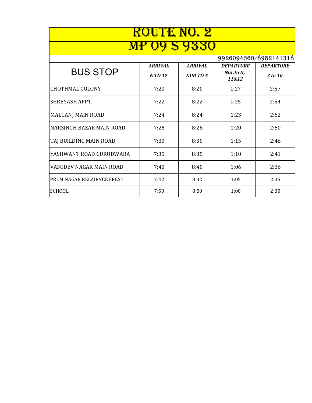| <u>ROUTE NO. 2</u>         |                |                  |                     |                       |
|----------------------------|----------------|------------------|---------------------|-----------------------|
|                            |                | <u>19 S 9330</u> |                     |                       |
|                            |                |                  |                     | 9926094360/8982141318 |
|                            | <b>ARRIVAL</b> | <b>ARRIVAL</b>   | <b>DEPARTURE</b>    | <b>DEPARTURE</b>      |
| <b>BUS STOP</b>            | 6 TO 12        | <b>NURTO5</b>    | Nur.to II,<br>11&12 | 3 to 10               |
| <b>CHOTHMAL COLONY</b>     | 7:20           | 8:20             | 1:27                | 2:57                  |
| SHREYASH APPT.             | 7:22           | 8:22             | 1:25                | 2:54                  |
| MALGANJ MAIN ROAD          | 7:24           | 8:24             | 1:23                | 2:52                  |
| NARSINGH BAZAR MAIN ROAD   | 7:26           | 8:26             | 1:20                | 2:50                  |
| TAJ BUILDING MAIN ROAD     | 7:30           | 8:30             | 1:15                | 2:46                  |
| YASHWANT ROAD GURUDWARA    | 7:35           | 8:35             | 1:10                | 2:41                  |
| VASUDEV NAGAR MAIN ROAD    | 7:40           | 8:40             | 1:06                | 2:36                  |
| PREM NAGAR RELAIENCE FRESH | 7:42           | 8:42             | 1:05                | 2:35                  |
| <b>SCHOOL</b>              | 7:50           | 8:50             | 1:00                | 2:30                  |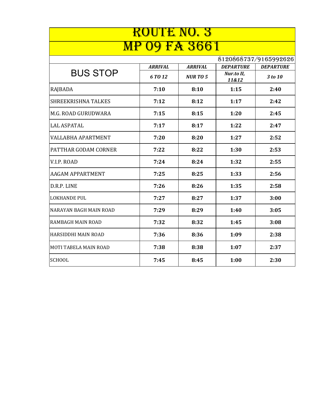| <b>ROUTE NO. 3</b>           |                |                |                     |                       |  |
|------------------------------|----------------|----------------|---------------------|-----------------------|--|
| <b>FA 3661</b>               |                |                |                     |                       |  |
|                              |                |                |                     | 8120868737/9165992626 |  |
|                              | <b>ARRIVAL</b> | <b>ARRIVAL</b> | <b>DEPARTURE</b>    | <b>DEPARTURE</b>      |  |
| <b>BUS STOP</b>              | 6 TO 12        | <b>NURTO5</b>  | Nur.to II,<br>11&12 | 3 to 10               |  |
| RAJBADA                      | 7:10           | 8:10           | 1:15                | 2:40                  |  |
| <b>SHREEKRISHNA TALKES</b>   | 7:12           | 8:12           | 1:17                | 2:42                  |  |
| M.G. ROAD GURUDWARA          | 7:15           | 8:15           | 1:20                | 2:45                  |  |
| <b>LAL ASPATAL</b>           | 7:17           | 8:17           | 1:22                | 2:47                  |  |
| <b>VALLABHA APARTMENT</b>    | 7:20           | 8:20           | 1:27                | 2:52                  |  |
| <b>PATTHAR GODAM CORNER</b>  | 7:22           | 8:22           | 1:30                | 2:53                  |  |
| V.I.P. ROAD                  | 7:24           | 8:24           | 1:32                | 2:55                  |  |
| <b>AAGAM APPARTMENT</b>      | 7:25           | 8:25           | 1:33                | 2:56                  |  |
| D.R.P. LINE                  | 7:26           | 8:26           | 1:35                | 2:58                  |  |
| <b>LOKHANDE PUL</b>          | 7:27           | 8:27           | 1:37                | 3:00                  |  |
| NARAYAN BAGH MAIN ROAD       | 7:29           | 8:29           | 1:40                | 3:05                  |  |
| <b>RAMBAGH MAIN ROAD</b>     | 7:32           | 8:32           | 1:45                | 3:08                  |  |
| HARSIDDHI MAIN ROAD          | 7:36           | 8:36           | 1:09                | 2:38                  |  |
| <b>MOTI TABELA MAIN ROAD</b> | 7:38           | 8:38           | 1:07                | 2:37                  |  |
| <b>SCHOOL</b>                | 7:45           | 8:45           | 1:00                | 2:30                  |  |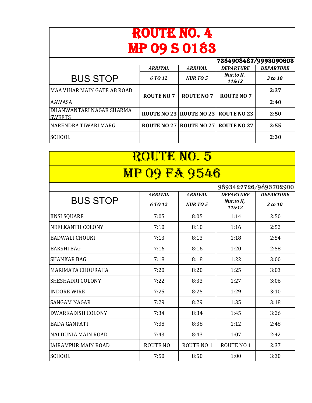| ROUTE NO. 4                               |                   |                   |                                     |                  |
|-------------------------------------------|-------------------|-------------------|-------------------------------------|------------------|
| <b>MP 09 S 0183</b>                       |                   |                   |                                     |                  |
| 7354908487/9993090603                     |                   |                   |                                     |                  |
|                                           | <b>ARRIVAL</b>    | <b>ARRIVAL</b>    | <b>DEPARTURE</b>                    | <b>DEPARTURE</b> |
| <b>BUS STOP</b>                           | 6 TO 12           | <b>NURTO 5</b>    | Nur.to II,<br>11&12                 | 3 to 10          |
| MAA VIHAR MAIN GATE AB ROAD               | <b>ROUTE NO 7</b> | <b>ROUTE NO 7</b> | <b>ROUTE NO 7</b>                   | 2:37             |
| AAWASA                                    |                   |                   |                                     | 2:40             |
| DHANWANTARI NAGAR SHARMA<br><b>SWEETS</b> |                   |                   | ROUTE NO 23 ROUTE NO 23 ROUTE NO 23 | 2:50             |
| NARENDRA TIWARI MARG                      |                   |                   | ROUTE NO 27 ROUTE NO 27 ROUTE NO 27 | 2:55             |
| <b>SCHOOL</b>                             |                   |                   |                                     | 2:30             |

| ROUTE NO. 5                |                   |                   |                                |                       |
|----------------------------|-------------------|-------------------|--------------------------------|-----------------------|
| 09 FA 9546<br><b>MP</b>    |                   |                   |                                |                       |
|                            |                   |                   |                                | 9893427726/9893702900 |
| <b>BUS STOP</b>            | <b>ARRIVAL</b>    | <b>ARRIVAL</b>    | <b>DEPARTURE</b><br>Nur.to II, | <b>DEPARTURE</b>      |
|                            | 6 TO 12           | <b>NURTO5</b>     | 11&12                          | 3 to 10               |
| <b>JINSI SQUARE</b>        | 7:05              | 8:05              | 1:14                           | 2:50                  |
| NEELKANTH COLONY           | 7:10              | 8:10              | 1:16                           | 2:52                  |
| <b>BADWALI CHOUKI</b>      | 7:13              | 8:13              | 1:18                           | 2:54                  |
| <b>BAKSHI BAG</b>          | 7:16              | 8:16              | 1:20                           | 2:58                  |
| <b>SHANKAR BAG</b>         | 7:18              | 8:18              | 1:22                           | 3:00                  |
| MARIMATA CHOURAHA          | 7:20              | 8:20              | 1:25                           | 3:03                  |
| <b>SHESHADRI COLONY</b>    | 7:22              | 8:33              | 1:27                           | 3:06                  |
| <b>INDORE WIRE</b>         | 7:25              | 8:25              | 1:29                           | 3:10                  |
| <b>SANGAM NAGAR</b>        | 7:29              | 8:29              | 1:35                           | 3:18                  |
| <b>DWARKADISH COLONY</b>   | 7:34              | 8:34              | 1:45                           | 3:26                  |
| <b>BADA GANPATI</b>        | 7:38              | 8:38              | 1:12                           | 2:48                  |
| NAI DUNIA MAIN ROAD        | 7:43              | 8:43              | 1:07                           | 2:42                  |
| <b>JAIRAMPUR MAIN ROAD</b> | <b>ROUTE NO 1</b> | <b>ROUTE NO 1</b> | ROUTE NO 1                     | 2:37                  |
| <b>SCHOOL</b>              | 7:50              | 8:50              | 1:00                           | 3:30                  |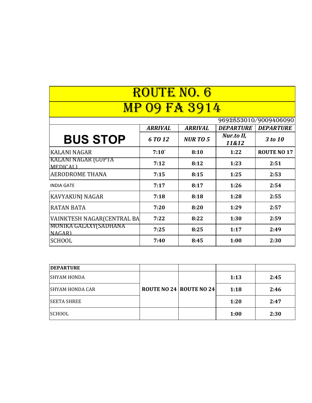| <b>ROUTE NO. 6</b>                     |                |                |                     |                       |
|----------------------------------------|----------------|----------------|---------------------|-----------------------|
| <b>MP 09 FA 3914</b>                   |                |                |                     |                       |
|                                        |                |                |                     | 9692853010/9009406090 |
|                                        | <b>ARRIVAL</b> | <b>ARRIVAL</b> | <b>DEPARTURE</b>    | <b>DEPARTURE</b>      |
| <b>BUS STOP</b>                        | 6 TO 12        | <b>NURTO 5</b> | Nur.to II,<br>11&12 | 3 to 10               |
| <b>KALANI NAGAR</b>                    | 7:10           | 8:10           | 1:22                | <b>ROUTE NO 17</b>    |
| KALANI NAGAR (GUPTA<br><b>MEDICAL)</b> | 7:12           | 8:12           | 1:23                | 2:51                  |
| <b>AERODROME THANA</b>                 | 7:15           | 8:15           | 1:25                | 2:53                  |
| <b>INDIA GATE</b>                      | 7:17           | 8:17           | 1:26                | 2:54                  |
| <b>KAVYAKUNJ NAGAR</b>                 | 7:18           | 8:18           | 1:28                | 2:55                  |
| <b>RATAN BATA</b>                      | 7:20           | 8:20           | 1:29                | 2:57                  |
| VAINKTESH NAGAR(CENTRAL BA             | 7:22           | 8:22           | 1:30                | 2:59                  |
| MONIKA GALAXY(SADHANA<br><b>NAGARI</b> | 7:25           | 8:25           | 1:17                | 2:49                  |
| <b>SCHOOL</b>                          | 7:40           | 8:45           | 1:00                | 2:30                  |

| <b>DEPARTURE</b>   |                                |      |      |
|--------------------|--------------------------------|------|------|
| <b>SHYAM HONDA</b> |                                | 1:13 | 2:45 |
| ISHYAM HONDA CAR   | <b>ROUTE NO 24 ROUTE NO 24</b> | 1:18 | 2:46 |
| <b>SEETA SHREE</b> |                                | 1:20 | 2:47 |
| <b>SCHOOL</b>      |                                | 1:00 | 2:30 |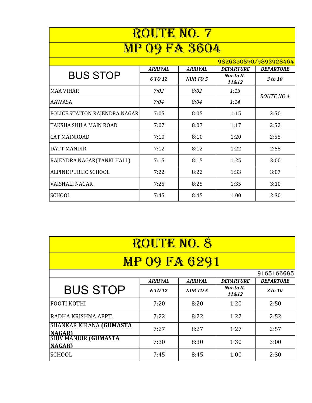| ROUTE NO. 7                   |                |                |                     |                   |
|-------------------------------|----------------|----------------|---------------------|-------------------|
| <b>09 FA 3604</b>             |                |                |                     |                   |
| 9826350890/9893928464         |                |                |                     |                   |
|                               | <b>ARRIVAL</b> | <b>ARRIVAL</b> | <b>DEPARTURE</b>    | <b>DEPARTURE</b>  |
| <b>BUS STOP</b>               | 6 TO 12        | <b>NURTO 5</b> | Nur.to II,<br>11&12 | 3 to 10           |
| <b>MAA VIHAR</b>              | 7:02           | 8:02           | 1:13                | <b>ROUTE NO 4</b> |
| <b>AAWASA</b>                 | 7:04           | 8:04           | 1:14                |                   |
| POLICE STAITON RAJENDRA NAGAR | 7:05           | 8:05           | 1:15                | 2:50              |
| TAKSHA SHILA MAIN ROAD        | 7:07           | 8:07           | 1:17                | 2:52              |
| <b>CAT MAINROAD</b>           | 7:10           | 8:10           | 1:20                | 2:55              |
| <b>DATT MANDIR</b>            | 7:12           | 8:12           | 1:22                | 2:58              |
| RAJENDRA NAGAR(TANKI HALL)    | 7:15           | 8:15           | 1:25                | 3:00              |
| ALPINE PUBLIC SCHOOL          | 7:22           | 8:22           | 1:33                | 3:07              |
| VAISHALI NAGAR                | 7:25           | 8:25           | 1:35                | 3:10              |
| <b>SCHOOL</b>                 | 7:45           | 8:45           | 1:00                | 2:30              |

| <b>ROUTE NO. 8</b>                                                     |                |                |                     |                  |
|------------------------------------------------------------------------|----------------|----------------|---------------------|------------------|
| <b>MP 09 FA 6291</b>                                                   |                |                |                     |                  |
|                                                                        |                |                |                     | 9165166685       |
|                                                                        | <b>ARRIVAL</b> | <b>ARRIVAL</b> | <b>DEPARTURE</b>    | <b>DEPARTURE</b> |
| <b>BUS STOP</b>                                                        | 6 TO 12        | <b>NURTO 5</b> | Nur.to II,<br>11&12 | 3 to 10          |
| <b>FOOTI KOTHI</b>                                                     | 7:20           | 8:20           | 1:20                | 2:50             |
| RADHA KRISHNA APPT.                                                    | 7:22           | 8:22           | 1:22                | 2:52             |
| <b>SHANKAR KIRANA (GUMASTA</b>                                         | 7:27           | 8:27           | 1:27                | 2:57             |
| <mark>NAGAR)</mark><br> SHIV MANDIR <b>(GUMASTA</b> )<br><b>NAGARI</b> | 7:30           | 8:30           | 1:30                | 3:00             |
| <b>SCHOOL</b>                                                          | 7:45           | 8:45           | 1:00                | 2:30             |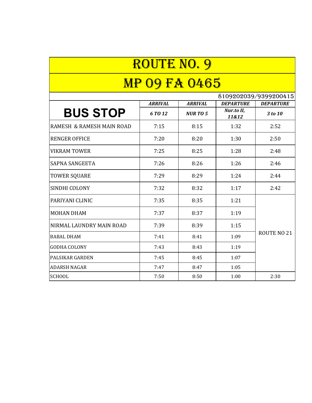| <b>ROUTE NO. 9</b>        |                |                |                     |                       |  |
|---------------------------|----------------|----------------|---------------------|-----------------------|--|
| <b>MP 09 FA 0465</b>      |                |                |                     |                       |  |
|                           |                |                |                     | 8109202039/9399200415 |  |
|                           | <b>ARRIVAL</b> | <b>ARRIVAL</b> | <b>DEPARTURE</b>    | <b>DEPARTURE</b>      |  |
| <b>BUS STOP</b>           | 6 TO 12        | <b>NURTO5</b>  | Nur.to II,<br>11&12 | 3 to 10               |  |
| RAMESH & RAMESH MAIN ROAD | 7:15           | 8:15           | 1:32                | 2:52                  |  |
| <b>RENGER OFFICE</b>      | 7:20           | 8:20           | 1:30                | 2:50                  |  |
| <b>VIKRAM TOWER</b>       | 7:25           | 8:25           | 1:28                | 2:48                  |  |
| <b>SAPNA SANGEETA</b>     | 7:26           | 8:26           | 1:26                | 2:46                  |  |
| <b>TOWER SQUARE</b>       | 7:29           | 8:29           | 1:24                | 2:44                  |  |
| SINDHI COLONY             | 7:32           | 8:32           | 1:17                | 2:42                  |  |
| PARIYANI CLINIC           | 7:35           | 8:35           | 1:21                |                       |  |
| <b>MOHAN DHAM</b>         | 7:37           | 8:37           | 1:19                |                       |  |
| NIRMAL LAUNDRY MAIN ROAD  | 7:39           | 8:39           | 1:15                |                       |  |
| <b>BABAL DHAM</b>         | 7:41           | 8:41           | 1:09                | ROUTE NO 21           |  |
| <b>GODHA COLONY</b>       | 7:43           | 8:43           | 1:19                |                       |  |
| <b>PALSIKAR GARDEN</b>    | 7:45           | 8:45           | 1:07                |                       |  |
| <b>ADARSH NAGAR</b>       | 7:47           | 8:47           | 1:05                |                       |  |
| <b>SCHOOL</b>             | 7:50           | 8:50           | 1:00                | 2:30                  |  |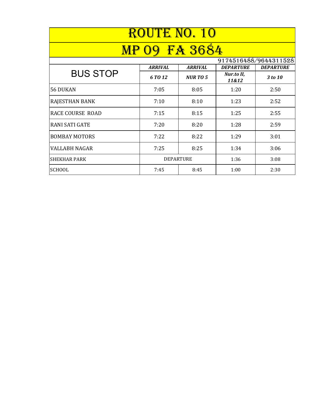| ROUTE NO. 10            |                  |                |                     |                  |  |
|-------------------------|------------------|----------------|---------------------|------------------|--|
|                         | <b>FA 3684</b>   |                |                     |                  |  |
| 9174516488/9644311528   |                  |                |                     |                  |  |
| <b>BUS STOP</b>         | <b>ARRIVAL</b>   | <b>ARRIVAL</b> | <b>DEPARTURE</b>    | <b>DEPARTURE</b> |  |
|                         | 6 TO 12          | <b>NURTO 5</b> | Nur.to II,<br>11&12 | 3 to 10          |  |
| 56 DUKAN                | 7:05             | 8:05           | 1:20                | 2:50             |  |
| <b>RAJESTHAN BANK</b>   | 7:10             | 8:10           | 1:23                | 2:52             |  |
| <b>RACE COURSE ROAD</b> | 7:15             | 8:15           | 1:25                | 2:55             |  |
| <b>RANI SATI GATE</b>   | 7:20             | 8:20           | 1:28                | 2:59             |  |
| <b>BOMBAY MOTORS</b>    | 7:22             | 8:22           | 1:29                | 3:01             |  |
| <b>VALLABH NAGAR</b>    | 7:25             | 8:25           | 1:34                | 3:06             |  |
| <b>SHEKHAR PARK</b>     | <b>DEPARTURE</b> |                | 1:36                | 3:08             |  |
| <b>SCHOOL</b>           | 7:45             | 8:45           | 1:00                | 2:30             |  |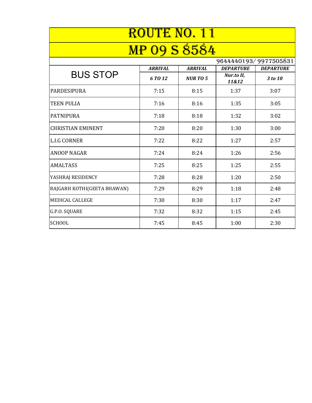| <b>ROUTE NO. 11</b>         |                |                |                       |                  |
|-----------------------------|----------------|----------------|-----------------------|------------------|
| <b>MP 09 S 8584</b>         |                |                |                       |                  |
|                             |                |                | 9644440193/9977505831 |                  |
|                             | <b>ARRIVAL</b> | <b>ARRIVAL</b> | <b>DEPARTURE</b>      | <b>DEPARTURE</b> |
| <b>BUS STOP</b>             | 6 TO 12        | <b>NURTO5</b>  | Nur.to II,<br>11&12   | 3 to 10          |
| <b>PARDESIPURA</b>          | 7:15           | 8:15           | 1:37                  | 3:07             |
| <b>TEEN PULIA</b>           | 7:16           | 8:16           | 1:35                  | 3:05             |
| <b>PATNIPURA</b>            | 7:18           | 8:18           | 1:32                  | 3:02             |
| <b>CHRISTIAN EMINENT</b>    | 7:20           | 8:20           | 1:30                  | 3:00             |
| <b>L.I.G CORNER</b>         | 7:22           | 8:22           | 1:27                  | 2:57             |
| <b>ANOOP NAGAR</b>          | 7:24           | 8:24           | 1:26                  | 2:56             |
| <b>AMALTASS</b>             | 7:25           | 8:25           | 1:25                  | 2:55             |
| YASHRAJ RESIDENCY           | 7:28           | 8:28           | 1:20                  | 2:50             |
| RAJGARH KOTHI(GEETA BHAWAN) | 7:29           | 8:29           | 1:18                  | 2:48             |
| <b>MEDICAL CALLEGE</b>      | 7:30           | 8:30           | 1:17                  | 2:47             |
| G.P.O. SQUARE               | 7:32           | 8:32           | 1:15                  | 2:45             |
| <b>SCHOOL</b>               | 7:45           | 8:45           | 1:00                  | 2:30             |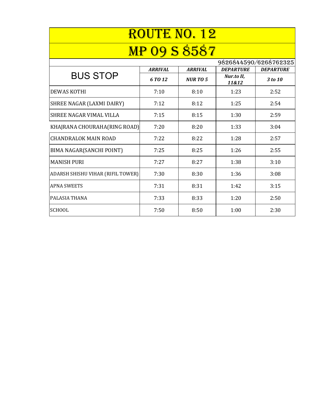| <b>ROUTE NO. 12</b>               |                     |                |                     |                  |
|-----------------------------------|---------------------|----------------|---------------------|------------------|
|                                   | <b>MP 09 S 8587</b> |                |                     |                  |
| 9826844590/6268762325             |                     |                |                     |                  |
|                                   | <b>ARRIVAL</b>      | <b>ARRIVAL</b> | <b>DEPARTURE</b>    | <b>DEPARTURE</b> |
| <b>BUS STOP</b>                   | 6 TO 12             | <b>NURTO 5</b> | Nur.to II,<br>11&12 | 3 to 10          |
| <b>DEWAS KOTHI</b>                | 7:10                | 8:10           | 1:23                | 2:52             |
| SHREE NAGAR (LAXMI DAIRY)         | 7:12                | 8:12           | 1:25                | 2:54             |
| SHREE NAGAR VIMAL VILLA           | 7:15                | 8:15           | 1:30                | 2:59             |
| KHAJRANA CHOURAHA(RING ROAD)      | 7:20                | 8:20           | 1:33                | 3:04             |
| <b>CHANDRALOK MAIN ROAD</b>       | 7:22                | 8:22           | 1:28                | 2:57             |
| BIMA NAGAR(SANCHI POINT)          | 7:25                | 8:25           | 1:26                | 2:55             |
| <b>MANISH PURI</b>                | 7:27                | 8:27           | 1:38                | 3:10             |
| ADARSH SHISHU VIHAR (RIFIL TOWER) | 7:30                | 8:30           | 1:36                | 3:08             |
| <b>APNA SWEETS</b>                | 7:31                | 8:31           | 1:42                | 3:15             |
| <b>PALASIA THANA</b>              | 7:33                | 8:33           | 1:20                | 2:50             |
| <b>SCHOOL</b>                     | 7:50                | 8:50           | 1:00                | 2:30             |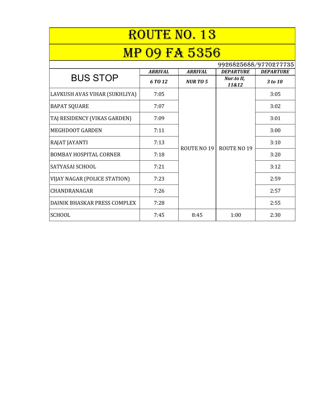| ROUTE NO. 13                  |                |                    |                     |                  |  |
|-------------------------------|----------------|--------------------|---------------------|------------------|--|
| <b>MP 09 FA 5356</b>          |                |                    |                     |                  |  |
| 9926825688/9770277735         |                |                    |                     |                  |  |
|                               | <b>ARRIVAL</b> | <b>ARRIVAL</b>     | <b>DEPARTURE</b>    | <b>DEPARTURE</b> |  |
| <b>BUS STOP</b>               | 6 TO 12        | <b>NURTO 5</b>     | Nur.to II,<br>11&12 | 3 to 10          |  |
| LAVKUSH AVAS VIHAR (SUKHLIYA) | 7:05           |                    |                     | 3:05             |  |
| <b>BAPAT SQUARE</b>           | 7:07           |                    | <b>ROUTE NO 19</b>  | 3:02             |  |
| TAJ RESIDENCY (VIKAS GARDEN)  | 7:09           |                    |                     | 3:01             |  |
| <b>MEGHDOOT GARDEN</b>        | 7:11           |                    |                     | 3:00             |  |
| RAJAT JAYANTI                 | 7:13           | <b>ROUTE NO 19</b> |                     | 3:10             |  |
| <b>BOMBAY HOSPITAL CORNER</b> | 7:18           |                    |                     | 3:20             |  |
| <b>SATYASAI SCHOOL</b>        | 7:21           |                    |                     | 3:12             |  |
| VIJAY NAGAR (POLICE STATION)  | 7:23           |                    |                     | 2:59             |  |
| CHANDRANAGAR                  | 7:26           |                    |                     | 2:57             |  |
| DAINIK BHASKAR PRESS COMPLEX  | 7:28           |                    |                     | 2:55             |  |
| <b>SCHOOL</b>                 | 7:45           | 8:45               | 1:00                | 2:30             |  |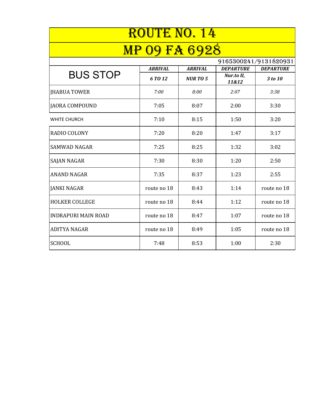| ROUTE NO. 14                                  |                |                |                     |                  |  |
|-----------------------------------------------|----------------|----------------|---------------------|------------------|--|
| <b>9 FA 6928</b><br>$\mathbf{M}$ $\mathbf{P}$ |                |                |                     |                  |  |
| 9165300241/9131820931                         |                |                |                     |                  |  |
|                                               | <b>ARRIVAL</b> | <b>ARRIVAL</b> | <b>DEPARTURE</b>    | <b>DEPARTURE</b> |  |
| <b>BUS STOP</b>                               | 6 TO 12        | <b>NURTO5</b>  | Nur.to II,<br>11&12 | 3 to 10          |  |
| <b>IHABUA TOWER</b>                           | 7:00           | 8:00           | 2:07                | 3:38             |  |
| JAORA COMPOUND                                | 7:05           | 8:07           | 2:00                | 3:30             |  |
| <b>WHITE CHURCH</b>                           | 7:10           | 8:15           | 1:50                | 3:20             |  |
| <b>RADIO COLONY</b>                           | 7:20           | 8:20           | 1:47                | 3:17             |  |
| <b>SAMWAD NAGAR</b>                           | 7:25           | 8:25           | 1:32                | 3:02             |  |
| <b>SAJAN NAGAR</b>                            | 7:30           | 8:30           | 1:20                | 2:50             |  |
| <b>ANAND NAGAR</b>                            | 7:35           | 8:37           | 1:23                | 2:55             |  |
| <b>JANKI NAGAR</b>                            | route no 18    | 8:43           | 1:14                | route no 18      |  |
| <b>HOLKER COLLEGE</b>                         | route no 18    | 8:44           | 1:12                | route no 18      |  |
| <b>INDRAPURI MAIN ROAD</b>                    | route no 18    | 8:47           | 1:07                | route no 18      |  |
| <b>ADITYA NAGAR</b>                           | route no 18    | 8:49           | 1:05                | route no 18      |  |
| <b>SCHOOL</b>                                 | 7:48           | 8:53           | 1:00                | 2:30             |  |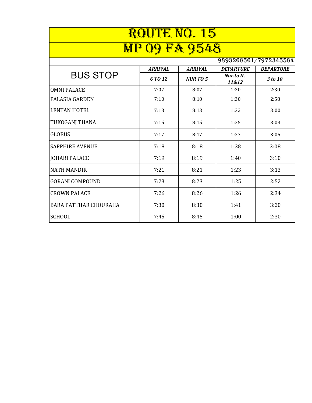| ROUTE NO. 15                 |                       |                |                     |                  |  |
|------------------------------|-----------------------|----------------|---------------------|------------------|--|
| 09 FA 9548<br><b>MP</b>      |                       |                |                     |                  |  |
|                              | 9893268561/7972345584 |                |                     |                  |  |
|                              | <b>ARRIVAL</b>        | <b>ARRIVAL</b> | <b>DEPARTURE</b>    | <b>DEPARTURE</b> |  |
| <b>BUS STOP</b>              | 6 TO 12               | <b>NURTO 5</b> | Nur.to II,<br>11&12 | 3 to 10          |  |
| <b>OMNI PALACE</b>           | 7:07                  | 8:07           | 1:20                | 2:30             |  |
| <b>PALASIA GARDEN</b>        | 7:10                  | 8:10           | 1:30                | 2:58             |  |
| <b>LENTAN HOTEL</b>          | 7:13                  | 8:13           | 1:32                | 3:00             |  |
| <b>TUKOGANJ THANA</b>        | 7:15                  | 8:15           | 1:35                | 3:03             |  |
| <b>GLOBUS</b>                | 7:17                  | 8:17           | 1:37                | 3:05             |  |
| <b>SAPPHIRE AVENUE</b>       | 7:18                  | 8:18           | 1:38                | 3:08             |  |
| <b>JOHARI PALACE</b>         | 7:19                  | 8:19           | 1:40                | 3:10             |  |
| <b>NATH MANDIR</b>           | 7:21                  | 8:21           | 1:23                | 3:13             |  |
| <b>GORANI COMPOUND</b>       | 7:23                  | 8:23           | 1:25                | 2:52             |  |
| <b>CROWN PALACE</b>          | 7:26                  | 8:26           | 1:26                | 2:34             |  |
| <b>BARA PATTHAR CHOURAHA</b> | 7:30                  | 8:30           | 1:41                | 3:20             |  |
| <b>SCHOOL</b>                | 7:45                  | 8:45           | 1:00                | 2:30             |  |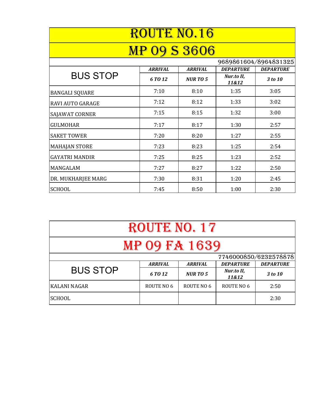| <b>ROUTE NO.16</b>      |                |                |                     |                       |
|-------------------------|----------------|----------------|---------------------|-----------------------|
| <b>MP 09 S 3606</b>     |                |                |                     |                       |
|                         |                |                |                     | 9689861604/8964831325 |
|                         | <b>ARRIVAL</b> | <b>ARRIVAL</b> | <b>DEPARTURE</b>    | <b>DEPARTURE</b>      |
| <b>BUS STOP</b>         | 6 TO 12        | <b>NURTO5</b>  | Nur.to II,<br>11&12 | 3 to 10               |
| <b>BANGALI SQUARE</b>   | 7:10           | 8:10           | 1:35                | 3:05                  |
| <b>RAVI AUTO GARAGE</b> | 7:12           | 8:12           | 1:33                | 3:02                  |
| SAJAWAT CORNER          | 7:15           | 8:15           | 1:32                | 3:00                  |
| <b>GULMOHAR</b>         | 7:17           | 8:17           | 1:30                | 2:57                  |
| <b>SAKET TOWER</b>      | 7:20           | 8:20           | 1:27                | 2:55                  |
| <b>MAHAJAN STORE</b>    | 7:23           | 8:23           | 1:25                | 2:54                  |
| <b>GAYATRI MANDIR</b>   | 7:25           | 8:25           | 1:23                | 2:52                  |
| <b>MANGALAM</b>         | 7:27           | 8:27           | 1:22                | 2:50                  |
| DR. MUKHARJEE MARG      | 7:30           | 8:31           | 1:20                | 2:45                  |
| <b>SCHOOL</b>           | 7:45           | 8:50           | 1:00                | 2:30                  |

| ROUTE NO. 17        |                |                |                     |                       |
|---------------------|----------------|----------------|---------------------|-----------------------|
| MP 09 FA 1639       |                |                |                     |                       |
|                     |                |                |                     | 7746000850/6232578878 |
|                     | <b>ARRIVAL</b> | <b>ARRIVAL</b> | <b>DEPARTURE</b>    | <b>DEPARTURE</b>      |
| <b>BUS STOP</b>     | 6 TO 12        | <b>NURTO 5</b> | Nur.to II,<br>11&12 | 3 to 10               |
| <b>KALANI NAGAR</b> | ROUTE NO 6     | ROUTE NO 6     | ROUTE NO 6          | 2:50                  |
| <b>SCHOOL</b>       |                |                |                     | 2:30                  |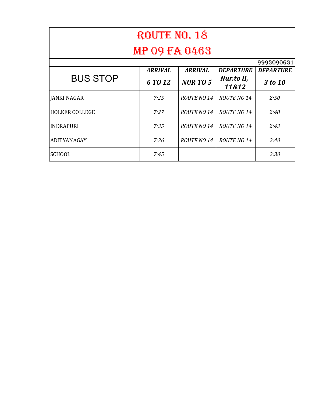| ROUTE NO. 18          |                |                    |                     |                  |  |
|-----------------------|----------------|--------------------|---------------------|------------------|--|
| <b>MP 09 FA 0463</b>  |                |                    |                     |                  |  |
|                       |                |                    |                     | 9993090631       |  |
|                       | <b>ARRIVAL</b> | <b>ARRIVAL</b>     | <b>DEPARTURE</b>    | <b>DEPARTURE</b> |  |
| <b>BUS STOP</b>       | 6 TO 12        | <b>NURTO 5</b>     | Nur.to II,<br>11&12 | 3 to 10          |  |
| JANKI NAGAR           | 7:25           | <b>ROUTE NO 14</b> | <b>ROUTE NO 14</b>  | 2:50             |  |
| <b>HOLKER COLLEGE</b> | 7:27           | <b>ROUTE NO 14</b> | <b>ROUTE NO 14</b>  | 2:48             |  |
| <b>INDRAPURI</b>      | 7:35           | <b>ROUTE NO 14</b> | <b>ROUTE NO 14</b>  | 2:43             |  |
| ADITYANAGAY           | 7:36           | <b>ROUTE NO 14</b> | <b>ROUTE NO 14</b>  | 2:40             |  |
| <b>SCHOOL</b>         | 7:45           |                    |                     | 2:30             |  |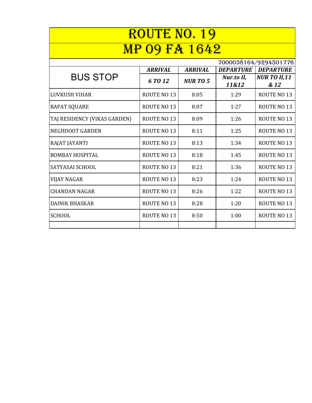| <b>ROUTE NO. 19</b>          |                    |                |                     |                             |
|------------------------------|--------------------|----------------|---------------------|-----------------------------|
| 9 FA 1642                    |                    |                |                     |                             |
|                              |                    |                |                     | 7000038164/9294501776       |
|                              | <b>ARRIVAL</b>     | <b>ARRIVAL</b> | <b>DEPARTURE</b>    | <b>DEPARTURE</b>            |
| <b>BUS STOP</b>              | 6 TO 12            | <b>NURTO 5</b> | Nur.to II,<br>11&12 | <b>NUR TO II,11</b><br>& 12 |
| LUVKUSH VIHAR                | <b>ROUTE NO 13</b> | 8:05           | 1:29                | <b>ROUTE NO 13</b>          |
| <b>BAPAT SQUARE</b>          | <b>ROUTE NO 13</b> | 8:07           | 1:27                | <b>ROUTE NO 13</b>          |
| TAJ RESIDENCY (VIKAS GARDEN) | <b>ROUTE NO 13</b> | 8:09           | 1:26                | <b>ROUTE NO 13</b>          |
| <b>NEGHDOOT GARDEN</b>       | <b>ROUTE NO 13</b> | 8:11           | 1:25                | <b>ROUTE NO 13</b>          |
| RAJAT JAYANTI                | <b>ROUTE NO 13</b> | 8:13           | 1:34                | <b>ROUTE NO 13</b>          |
| <b>BOMBAY HOSPITAL</b>       | <b>ROUTE NO 13</b> | 8:18           | 1:45                | <b>ROUTE NO 13</b>          |
| <b>SATYASAI SCHOOL</b>       | <b>ROUTE NO 13</b> | 8:21           | 1:36                | <b>ROUTE NO 13</b>          |
| <b>VIJAY NAGAR</b>           | <b>ROUTE NO 13</b> | 8:23           | 1:24                | <b>ROUTE NO 13</b>          |
| <b>CHANDAN NAGAR</b>         | <b>ROUTE NO 13</b> | 8:26           | 1:22                | <b>ROUTE NO 13</b>          |
| <b>DAINIK BHASKAR</b>        | <b>ROUTE NO 13</b> | 8:28           | 1:20                | <b>ROUTE NO 13</b>          |
| <b>SCHOOL</b>                | <b>ROUTE NO 13</b> | 8:50           | 1:00                | <b>ROUTE NO 13</b>          |
|                              |                    |                |                     |                             |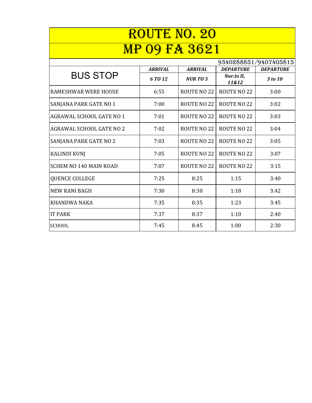| <b>ROUTE NO. 20</b>             |                |                    |                     |                       |
|---------------------------------|----------------|--------------------|---------------------|-----------------------|
|                                 |                |                    |                     |                       |
| <b>9 FA 3621</b>                |                |                    |                     |                       |
|                                 |                |                    |                     | 9340288851/9407405815 |
|                                 | <b>ARRIVAL</b> | <b>ARRIVAL</b>     | <b>DEPARTURE</b>    | <b>DEPARTURE</b>      |
| <b>BUS STOP</b>                 | 6 TO 12        | <b>NURTO5</b>      | Nur.to II,<br>11&12 | 3 to 10               |
| <b>RAMESHWAR WERE HOUSE</b>     | 6:55           | <b>ROUTE NO 22</b> | ROUTE NO 22         | 3:00                  |
| SANJANA PARK GATE NO 1          | 7:00           | <b>ROUTE NO 22</b> | <b>ROUTE NO 22</b>  | 3:02                  |
| AGRAWAL SCHOOL GATE NO 1        | 7:01           | <b>ROUTE NO 22</b> | <b>ROUTE NO 22</b>  | 3:03                  |
| <b>AGRAWAL SCHOOL GATE NO 2</b> | 7:02           | <b>ROUTE NO 22</b> | <b>ROUTE NO 22</b>  | 3:04                  |
| SANJANA PARK GATE NO 2          | 7:03           | <b>ROUTE NO 22</b> | <b>ROUTE NO 22</b>  | 3:05                  |
| <b>KALINDI KUNJ</b>             | 7:05           | <b>ROUTE NO 22</b> | <b>ROUTE NO 22</b>  | 3:07                  |
| <b>SCHEM NO 140 MAIN ROAD</b>   | 7:07           | <b>ROUTE NO 22</b> | <b>ROUTE NO 22</b>  | 3:15                  |
| <b>QUENCE COLLEGE</b>           | 7:25           | 8:25               | 1:15                | 3:40                  |
| <b>NEW RANI BAGH</b>            | 7:30           | 8:30               | 1:18                | 3:42                  |
| <b>KHANDWA NAKA</b>             | 7:35           | 8:35               | 1:23                | 3:45                  |
| <b>IT PARK</b>                  | 7:37           | 8:37               | 1:10                | 2:40                  |
| <b>SCHOOL</b>                   | 7:45           | 8:45               | 1:00                | 2:30                  |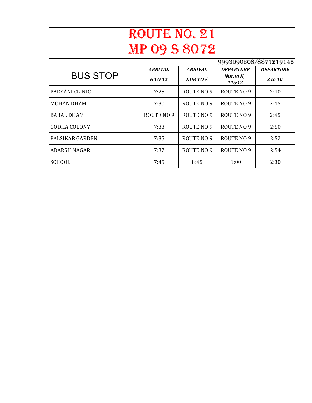| ROUTE NO. 21                                         |            |                |                     |                  |
|------------------------------------------------------|------------|----------------|---------------------|------------------|
| <b>MP 09 S 8072</b>                                  |            |                |                     |                  |
| 9993090608/8871219145                                |            |                |                     |                  |
| <b>ARRIVAL</b><br><b>DEPARTURE</b><br><b>ARRIVAL</b> |            |                |                     | <b>DEPARTURE</b> |
| <b>BUS STOP</b>                                      | 6 TO 12    | <b>NURTO 5</b> | Nur.to II,<br>11&12 | 3 to 10          |
| PARYANI CLINIC                                       | 7:25       | ROUTE NO 9     | ROUTE NO 9          | 2:40             |
| <b>MOHAN DHAM</b>                                    | 7:30       | ROUTE NO 9     | ROUTE NO 9          | 2:45             |
| <b>BABAL DHAM</b>                                    | ROUTE NO 9 | ROUTE NO 9     | ROUTE NO 9          | 2:45             |
| <b>GODHA COLONY</b>                                  | 7:33       | ROUTE NO 9     | ROUTE NO 9          | 2:50             |
| PALSIKAR GARDEN                                      | 7:35       | ROUTE NO 9     | ROUTE NO 9          | 2:52             |
| <b>ADARSH NAGAR</b>                                  | 7:37       | ROUTE NO 9     | ROUTE NO 9          | 2:54             |
| <b>SCHOOL</b>                                        | 7:45       | 8:45           | 1:00                | 2:30             |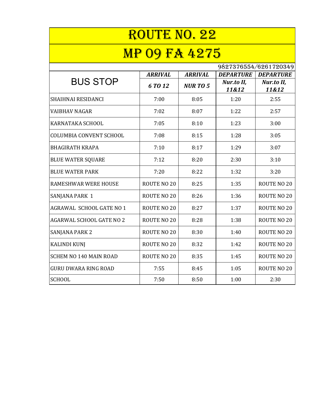| <b>ROUTE NO. 22</b><br><b>MP 09 FA 4275</b> |                    |                |                     |                     |
|---------------------------------------------|--------------------|----------------|---------------------|---------------------|
|                                             |                    |                |                     |                     |
| <b>BUS STOP</b>                             | <b>ARRIVAL</b>     | <b>ARRIVAL</b> | <b>DEPARTURE</b>    | <b>DEPARTURE</b>    |
|                                             | 6 TO 12            | <b>NURTO 5</b> | Nur.to II,<br>11&12 | Nur.to II,<br>11&12 |
| SHAIHNAI RESIDANCI                          | 7:00               | 8:05           | 1:20                | 2:55                |
| VAIBHAV NAGAR                               | 7:02               | 8:07           | 1:22                | 2:57                |
| KARNATAKA SCHOOL                            | 7:05               | 8:10           | 1:23                | 3:00                |
| <b>COLUMBIA CONVENT SCHOOL</b>              | 7:08               | 8:15           | 1:28                | 3:05                |
| <b>BHAGIRATH KRAPA</b>                      | 7:10               | 8:17           | 1:29                | 3:07                |
| <b>BLUE WATER SQUARE</b>                    | 7:12               | 8:20           | 2:30                | 3:10                |
| <b>BLUE WATER PARK</b>                      | 7:20               | 8:22           | 1:32                | 3:20                |
| RAMESHWAR WERE HOUSE                        | ROUTE NO 20        | 8:25           | 1:35                | ROUTE NO 20         |
| SANJANA PARK 1                              | ROUTE NO 20        | 8:26           | 1:36                | ROUTE NO 20         |
| AGRAWAL SCHOOL GATE NO 1                    | ROUTE NO 20        | 8:27           | 1:37                | ROUTE NO 20         |
| <b>AGARWAL SCHOOL GATE NO 2</b>             | <b>ROUTE NO 20</b> | 8:28           | 1:38                | <b>ROUTE NO 20</b>  |
| SANJANA PARK 2                              | ROUTE NO 20        | 8:30           | 1:40                | ROUTE NO 20         |
| <b>KALINDI KUNJ</b>                         | ROUTE NO 20        | 8:32           | 1:42                | <b>ROUTE NO 20</b>  |
| <b>SCHEM NO 140 MAIN ROAD</b>               | ROUTE NO 20        | 8:35           | 1:45                | ROUTE NO 20         |
| <b>GURU DWARA RING ROAD</b>                 | 7:55               | 8:45           | 1:05                | ROUTE NO 20         |
| <b>SCHOOL</b>                               | 7:50               | 8:50           | 1:00                | 2:30                |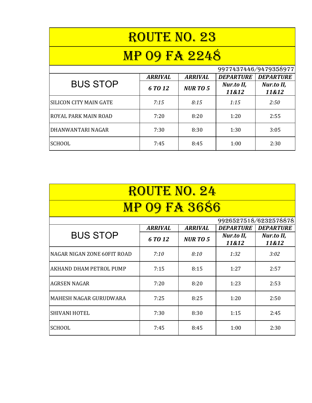| <b>ROUTE NO. 23</b>         |                |                |                     |                       |
|-----------------------------|----------------|----------------|---------------------|-----------------------|
| <b>MP 09 FA 2248</b>        |                |                |                     |                       |
|                             |                |                |                     | 9977437446/9479358977 |
| <b>BUS STOP</b>             | <b>ARRIVAL</b> | <b>ARRIVAL</b> | <b>DEPARTURE</b>    | <b>DEPARTURE</b>      |
|                             | 6 TO 12        | <b>NURTO 5</b> | Nur.to II,<br>11&12 | Nur.to II,<br>11&12   |
| ISILICON CITY MAIN GATE     | 7:15           | 8:15           | 1:15                | 2:50                  |
| <b>ROYAL PARK MAIN ROAD</b> | 7:20           | 8:20           | 1:20                | 2:55                  |
| IDHANWANTARI NAGAR          | 7:30           | 8:30           | 1:30                | 3:05                  |
| <b>SCHOOL</b>               | 7:45           | 8:45           | 1:00                | 2:30                  |

| ROUTE NO. 24                       |                |                |                     |                     |  |  |  |
|------------------------------------|----------------|----------------|---------------------|---------------------|--|--|--|
| <b>MP 09 FA 3686</b>               |                |                |                     |                     |  |  |  |
| 9926527518/6232578878              |                |                |                     |                     |  |  |  |
| <b>BUS STOP</b>                    | <b>ARRIVAL</b> | <b>ARRIVAL</b> | <b>DEPARTURE</b>    | <b>DEPARTURE</b>    |  |  |  |
|                                    | 6 TO 12        | <b>NURTO 5</b> | Nur.to II,<br>11&12 | Nur.to II,<br>11&12 |  |  |  |
| <b>NAGAR NIGAN ZONE 60FIT ROAD</b> | 7:10           | 8:10           | 1:32                | 3:02                |  |  |  |
| <b>AKHAND DHAM PETROL PUMP</b>     | 7:15           | 8:15           | 1:27                | 2:57                |  |  |  |
| <b>AGRSEN NAGAR</b>                | 7:20           | 8:20           | 1:23                | 2:53                |  |  |  |
| <b>MAHESH NAGAR GURUDWARA</b>      | 7:25           | 8:25           | 1:20                | 2:50                |  |  |  |
| <b>SHIVANI HOTEL</b>               | 7:30           | 8:30           | 1:15                | 2:45                |  |  |  |
| <b>SCHOOL</b>                      | 7:45           | 8:45           | 1:00                | 2:30                |  |  |  |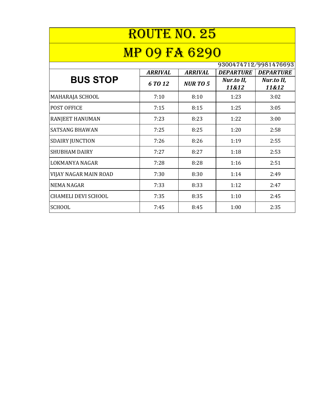| ROUTE NO. 25<br><b>MP 09 FA 6290</b> |                |                |                     |                     |  |  |  |
|--------------------------------------|----------------|----------------|---------------------|---------------------|--|--|--|
|                                      |                |                |                     |                     |  |  |  |
| <b>BUS STOP</b>                      | <b>ARRIVAL</b> | <b>ARRIVAL</b> | <b>DEPARTURE</b>    | <b>DEPARTURE</b>    |  |  |  |
|                                      | 6 TO 12        | <b>NURTO 5</b> | Nur.to II,<br>11&12 | Nur.to II,<br>11&12 |  |  |  |
| MAHARAJA SCHOOL                      | 7:10           | 8:10           | 1:23                | 3:02                |  |  |  |
| POST OFFICE                          | 7:15           | 8:15           | 1:25                | 3:05                |  |  |  |
| RANJEET HANUMAN                      | 7:23           | 8:23           | 1:22                | 3:00                |  |  |  |
| <b>SATSANG BHAWAN</b>                | 7:25           | 8:25           | 1:20                | 2:58                |  |  |  |
| <b>SDAIRY JUNCTION</b>               | 7:26           | 8:26           | 1:19                | 2:55                |  |  |  |
| <b>SHUBHAM DAIRY</b>                 | 7:27           | 8:27           | 1:18                | 2:53                |  |  |  |
| LOKMANYA NAGAR                       | 7:28           | 8:28           | 1:16                | 2:51                |  |  |  |
| VIJAY NAGAR MAIN ROAD                | 7:30           | 8:30           | 1:14                | 2:49                |  |  |  |
| <b>NEMA NAGAR</b>                    | 7:33           | 8:33           | 1:12                | 2:47                |  |  |  |
| <b>CHAMELI DEVI SCHOOL</b>           | 7:35           | 8:35           | 1:10                | 2:45                |  |  |  |
| <b>SCHOOL</b>                        | 7:45           | 8:45           | 1:00                | 2:35                |  |  |  |